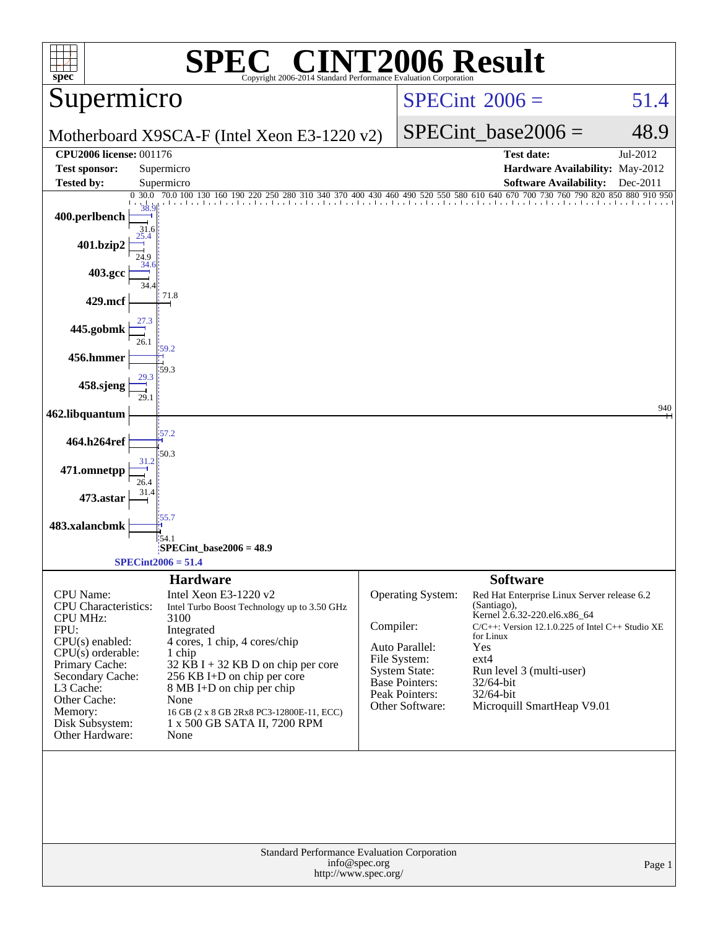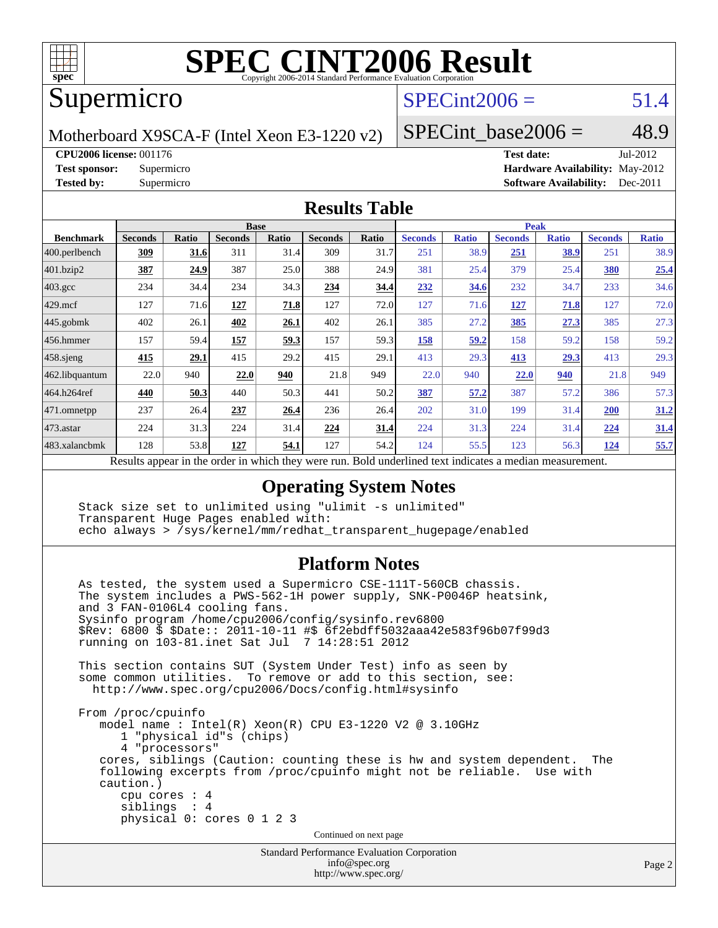

## Supermicro

# $SPECint2006 = 51.4$  $SPECint2006 = 51.4$

Motherboard X9SCA-F (Intel Xeon E3-1220 v2)

SPECint base2006 =  $48.9$ 

**[CPU2006 license:](http://www.spec.org/auto/cpu2006/Docs/result-fields.html#CPU2006license)** 001176 **[Test date:](http://www.spec.org/auto/cpu2006/Docs/result-fields.html#Testdate)** Jul-2012

**[Test sponsor:](http://www.spec.org/auto/cpu2006/Docs/result-fields.html#Testsponsor)** Supermicro **[Hardware Availability:](http://www.spec.org/auto/cpu2006/Docs/result-fields.html#HardwareAvailability)** May-2012 **[Tested by:](http://www.spec.org/auto/cpu2006/Docs/result-fields.html#Testedby)** Supermicro **Supermicro [Software Availability:](http://www.spec.org/auto/cpu2006/Docs/result-fields.html#SoftwareAvailability)** Dec-2011

### **[Results Table](http://www.spec.org/auto/cpu2006/Docs/result-fields.html#ResultsTable)**

|                                                                                                          | <b>Base</b>    |       |                |              |                |       | <b>Peak</b>    |              |                |              |                |              |
|----------------------------------------------------------------------------------------------------------|----------------|-------|----------------|--------------|----------------|-------|----------------|--------------|----------------|--------------|----------------|--------------|
| <b>Benchmark</b>                                                                                         | <b>Seconds</b> | Ratio | <b>Seconds</b> | <b>Ratio</b> | <b>Seconds</b> | Ratio | <b>Seconds</b> | <b>Ratio</b> | <b>Seconds</b> | <b>Ratio</b> | <b>Seconds</b> | <b>Ratio</b> |
| 400.perlbench                                                                                            | 309            | 31.6  | 311            | 31.4         | 309            | 31.7  | 251            | 38.9         | 251            | 38.9         | 251            | 38.9         |
| 401.bzip2                                                                                                | 387            | 24.9  | 387            | 25.0         | 388            | 24.9  | 381            | 25.4         | 379            | 25.4         | 380            | 25.4         |
| $403.\text{gcc}$                                                                                         | 234            | 34.4  | 234            | 34.3         | 234            | 34.4  | 232            | 34.6         | 232            | 34.7         | 233            | 34.6         |
| $429$ mcf                                                                                                | 127            | 71.6  | 127            | 71.8         | 127            | 72.0  | 127            | 71.6         | <u>127</u>     | 71.8         | 127            | 72.0         |
| $445$ .gobmk                                                                                             | 402            | 26.1  | 402            | 26.1         | 402            | 26.1  | 385            | 27.2         | 385            | 27.3         | 385            | 27.3         |
| 456.hmmer                                                                                                | 157            | 59.4  | 157            | 59.3         | 157            | 59.3  | 158            | 59.2         | 158            | 59.2         | 158            | 59.2         |
| $458$ .sjeng                                                                                             | 415            | 29.1  | 415            | 29.2         | 415            | 29.1  | 413            | 29.3         | 413            | 29.3         | 413            | 29.3         |
| 462.libquantum                                                                                           | 22.0           | 940   | 22.0           | 940          | 21.8           | 949   | 22.0           | 940          | 22.0           | 940          | 21.8           | 949          |
| 464.h264ref                                                                                              | 440            | 50.3  | 440            | 50.3         | 441            | 50.2  | 387            | 57.2         | 387            | 57.2         | 386            | 57.3         |
| 471.omnetpp                                                                                              | 237            | 26.4  | 237            | 26.4         | 236            | 26.4  | 202            | 31.0         | 199            | 31.4         | 200            | 31.2         |
| 473.astar                                                                                                | 224            | 31.3  | 224            | 31.4         | 224            | 31.4  | 224            | 31.3         | 224            | 31.4         | 224            | 31.4         |
| 483.xalancbmk                                                                                            | 128            | 53.8  | 127            | 54.1         | 127            | 54.2  | 124            | 55.5         | 123            | 56.3         | 124            | 55.7         |
| Dold underlined text indicates a madian measurement<br>Decute ennoye in the order in which they were mun |                |       |                |              |                |       |                |              |                |              |                |              |

Results appear in the [order in which they were run.](http://www.spec.org/auto/cpu2006/Docs/result-fields.html#RunOrder) Bold underlined text [indicates a median measurement.](http://www.spec.org/auto/cpu2006/Docs/result-fields.html#Median)

### **[Operating System Notes](http://www.spec.org/auto/cpu2006/Docs/result-fields.html#OperatingSystemNotes)**

 Stack size set to unlimited using "ulimit -s unlimited" Transparent Huge Pages enabled with: echo always > /sys/kernel/mm/redhat\_transparent\_hugepage/enabled

### **[Platform Notes](http://www.spec.org/auto/cpu2006/Docs/result-fields.html#PlatformNotes)**

 As tested, the system used a Supermicro CSE-111T-560CB chassis. The system includes a PWS-562-1H power supply, SNK-P0046P heatsink, and 3 FAN-0106L4 cooling fans. Sysinfo program /home/cpu2006/config/sysinfo.rev6800 \$Rev: 6800 \$ \$Date:: 2011-10-11 #\$ 6f2ebdff5032aaa42e583f96b07f99d3 running on 103-81.inet Sat Jul 7 14:28:51 2012 This section contains SUT (System Under Test) info as seen by some common utilities. To remove or add to this section, see: <http://www.spec.org/cpu2006/Docs/config.html#sysinfo> From /proc/cpuinfo model name : Intel(R) Xeon(R) CPU E3-1220 V2 @ 3.10GHz 1 "physical id"s (chips) 4 "processors" cores, siblings (Caution: counting these is hw and system dependent. The following excerpts from /proc/cpuinfo might not be reliable. Use with caution.) cpu cores : 4 siblings : 4 physical 0: cores 0 1 2 3 Continued on next page

Standard Performance Evaluation Corporation [info@spec.org](mailto:info@spec.org) <http://www.spec.org/>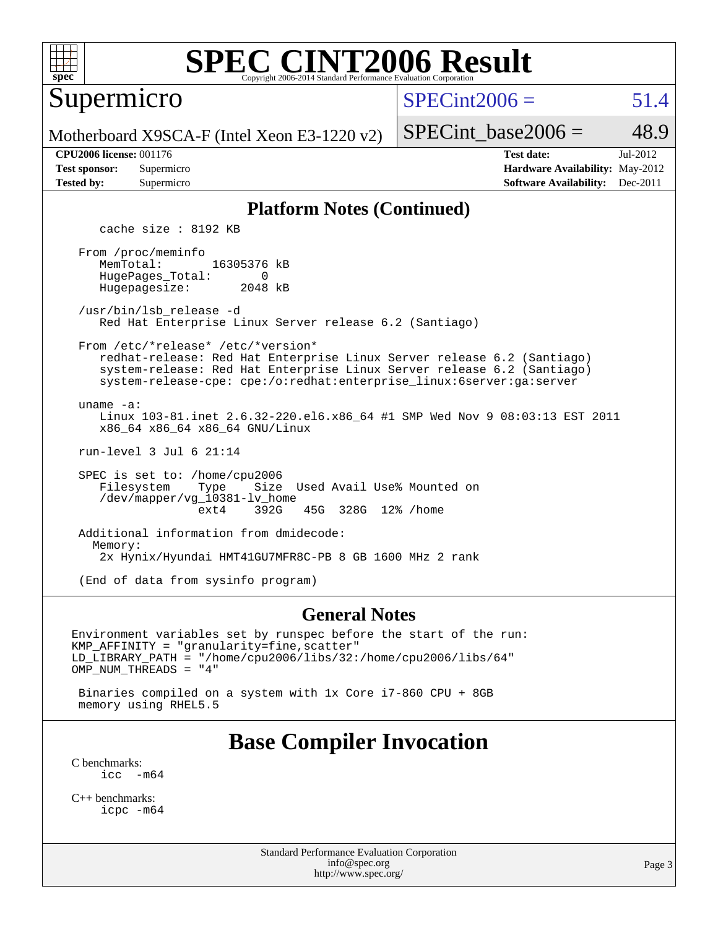

Supermicro

 $SPECint2006 = 51.4$  $SPECint2006 = 51.4$ 

Motherboard X9SCA-F (Intel Xeon E3-1220 v2)

SPECint base2006 =  $48.9$ 

| <b>CPU2006 license: 001176</b>         |                                                 |
|----------------------------------------|-------------------------------------------------|
| $\mathbf{m}$ . The set of $\mathbf{m}$ | the contract of the contract of the contract of |

**[CPU2006 license:](http://www.spec.org/auto/cpu2006/Docs/result-fields.html#CPU2006license)** 001176 **[Test date:](http://www.spec.org/auto/cpu2006/Docs/result-fields.html#Testdate)** Jul-2012 **[Test sponsor:](http://www.spec.org/auto/cpu2006/Docs/result-fields.html#Testsponsor)** Supermicro **[Hardware Availability:](http://www.spec.org/auto/cpu2006/Docs/result-fields.html#HardwareAvailability)** May-2012 **[Tested by:](http://www.spec.org/auto/cpu2006/Docs/result-fields.html#Testedby)** Supermicro **Supermicro [Software Availability:](http://www.spec.org/auto/cpu2006/Docs/result-fields.html#SoftwareAvailability)** Dec-2011

### **[Platform Notes \(Continued\)](http://www.spec.org/auto/cpu2006/Docs/result-fields.html#PlatformNotes)**

cache size : 8192 KB

 From /proc/meminfo MemTotal: 16305376 kB HugePages\_Total: 0<br>Hugepagesize: 2048 kB Hugepagesize:

 /usr/bin/lsb\_release -d Red Hat Enterprise Linux Server release 6.2 (Santiago)

 From /etc/\*release\* /etc/\*version\* redhat-release: Red Hat Enterprise Linux Server release 6.2 (Santiago)

 system-release: Red Hat Enterprise Linux Server release 6.2 (Santiago) system-release-cpe: cpe:/o:redhat:enterprise\_linux:6server:ga:server

uname -a:

 Linux 103-81.inet 2.6.32-220.el6.x86\_64 #1 SMP Wed Nov 9 08:03:13 EST 2011 x86\_64 x86\_64 x86\_64 GNU/Linux

run-level 3 Jul 6 21:14

SPEC is set to: /home/cpu2006<br>Filesystem Type Size Filesystem Type Size Used Avail Use% Mounted on /dev/mapper/vg\_10381-lv\_home ext4 392G 45G 328G 12% /home

 Additional information from dmidecode: Memory: 2x Hynix/Hyundai HMT41GU7MFR8C-PB 8 GB 1600 MHz 2 rank

(End of data from sysinfo program)

### **[General Notes](http://www.spec.org/auto/cpu2006/Docs/result-fields.html#GeneralNotes)**

Environment variables set by runspec before the start of the run: KMP\_AFFINITY = "granularity=fine,scatter" LD\_LIBRARY\_PATH = "/home/cpu2006/libs/32:/home/cpu2006/libs/64" OMP\_NUM\_THREADS = "4"

 Binaries compiled on a system with 1x Core i7-860 CPU + 8GB memory using RHEL5.5

## **[Base Compiler Invocation](http://www.spec.org/auto/cpu2006/Docs/result-fields.html#BaseCompilerInvocation)**

[C benchmarks](http://www.spec.org/auto/cpu2006/Docs/result-fields.html#Cbenchmarks):  $\text{icc}$   $-\text{m64}$ 

[C++ benchmarks:](http://www.spec.org/auto/cpu2006/Docs/result-fields.html#CXXbenchmarks) [icpc -m64](http://www.spec.org/cpu2006/results/res2012q3/cpu2006-20120717-23779.flags.html#user_CXXbase_intel_icpc_64bit_fc66a5337ce925472a5c54ad6a0de310)

> Standard Performance Evaluation Corporation [info@spec.org](mailto:info@spec.org) <http://www.spec.org/>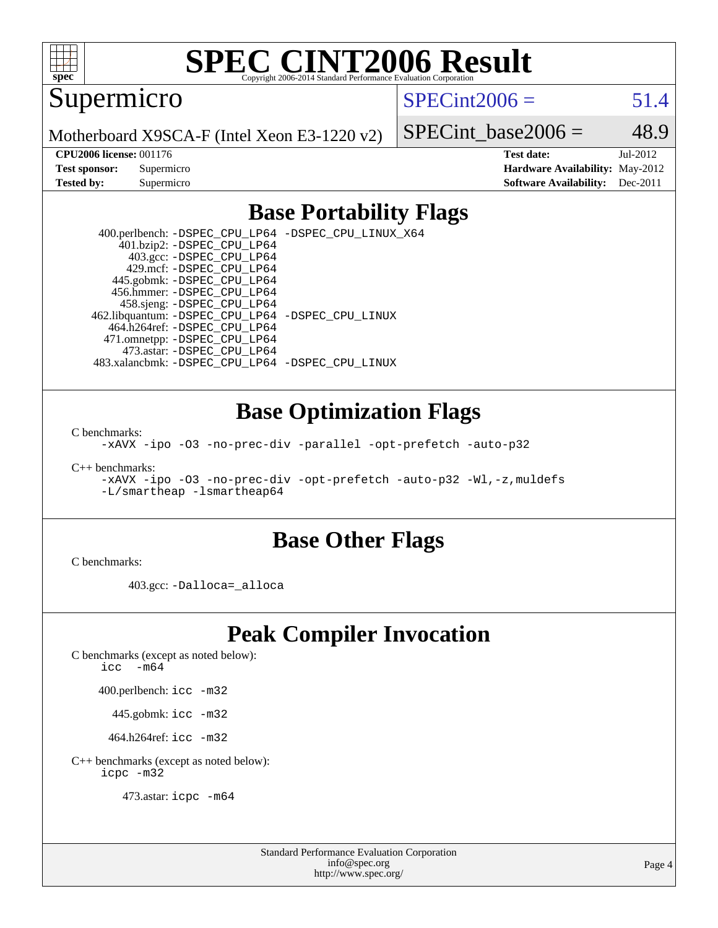

Supermicro

 $SPECint2006 = 51.4$  $SPECint2006 = 51.4$ 

Motherboard X9SCA-F (Intel Xeon E3-1220 v2)

SPECint base2006 =  $48.9$ 

**[CPU2006 license:](http://www.spec.org/auto/cpu2006/Docs/result-fields.html#CPU2006license)** 001176 **[Test date:](http://www.spec.org/auto/cpu2006/Docs/result-fields.html#Testdate)** Jul-2012 **[Test sponsor:](http://www.spec.org/auto/cpu2006/Docs/result-fields.html#Testsponsor)** Supermicro **[Hardware Availability:](http://www.spec.org/auto/cpu2006/Docs/result-fields.html#HardwareAvailability)** May-2012 **[Tested by:](http://www.spec.org/auto/cpu2006/Docs/result-fields.html#Testedby)** Supermicro **Supermicro [Software Availability:](http://www.spec.org/auto/cpu2006/Docs/result-fields.html#SoftwareAvailability)** Dec-2011

## **[Base Portability Flags](http://www.spec.org/auto/cpu2006/Docs/result-fields.html#BasePortabilityFlags)**

 400.perlbench: [-DSPEC\\_CPU\\_LP64](http://www.spec.org/cpu2006/results/res2012q3/cpu2006-20120717-23779.flags.html#b400.perlbench_basePORTABILITY_DSPEC_CPU_LP64) [-DSPEC\\_CPU\\_LINUX\\_X64](http://www.spec.org/cpu2006/results/res2012q3/cpu2006-20120717-23779.flags.html#b400.perlbench_baseCPORTABILITY_DSPEC_CPU_LINUX_X64) 401.bzip2: [-DSPEC\\_CPU\\_LP64](http://www.spec.org/cpu2006/results/res2012q3/cpu2006-20120717-23779.flags.html#suite_basePORTABILITY401_bzip2_DSPEC_CPU_LP64) 403.gcc: [-DSPEC\\_CPU\\_LP64](http://www.spec.org/cpu2006/results/res2012q3/cpu2006-20120717-23779.flags.html#suite_basePORTABILITY403_gcc_DSPEC_CPU_LP64) 429.mcf: [-DSPEC\\_CPU\\_LP64](http://www.spec.org/cpu2006/results/res2012q3/cpu2006-20120717-23779.flags.html#suite_basePORTABILITY429_mcf_DSPEC_CPU_LP64) 445.gobmk: [-DSPEC\\_CPU\\_LP64](http://www.spec.org/cpu2006/results/res2012q3/cpu2006-20120717-23779.flags.html#suite_basePORTABILITY445_gobmk_DSPEC_CPU_LP64) 456.hmmer: [-DSPEC\\_CPU\\_LP64](http://www.spec.org/cpu2006/results/res2012q3/cpu2006-20120717-23779.flags.html#suite_basePORTABILITY456_hmmer_DSPEC_CPU_LP64) 458.sjeng: [-DSPEC\\_CPU\\_LP64](http://www.spec.org/cpu2006/results/res2012q3/cpu2006-20120717-23779.flags.html#suite_basePORTABILITY458_sjeng_DSPEC_CPU_LP64) 462.libquantum: [-DSPEC\\_CPU\\_LP64](http://www.spec.org/cpu2006/results/res2012q3/cpu2006-20120717-23779.flags.html#suite_basePORTABILITY462_libquantum_DSPEC_CPU_LP64) [-DSPEC\\_CPU\\_LINUX](http://www.spec.org/cpu2006/results/res2012q3/cpu2006-20120717-23779.flags.html#b462.libquantum_baseCPORTABILITY_DSPEC_CPU_LINUX) 464.h264ref: [-DSPEC\\_CPU\\_LP64](http://www.spec.org/cpu2006/results/res2012q3/cpu2006-20120717-23779.flags.html#suite_basePORTABILITY464_h264ref_DSPEC_CPU_LP64) 471.omnetpp: [-DSPEC\\_CPU\\_LP64](http://www.spec.org/cpu2006/results/res2012q3/cpu2006-20120717-23779.flags.html#suite_basePORTABILITY471_omnetpp_DSPEC_CPU_LP64) 473.astar: [-DSPEC\\_CPU\\_LP64](http://www.spec.org/cpu2006/results/res2012q3/cpu2006-20120717-23779.flags.html#suite_basePORTABILITY473_astar_DSPEC_CPU_LP64) 483.xalancbmk: [-DSPEC\\_CPU\\_LP64](http://www.spec.org/cpu2006/results/res2012q3/cpu2006-20120717-23779.flags.html#suite_basePORTABILITY483_xalancbmk_DSPEC_CPU_LP64) [-DSPEC\\_CPU\\_LINUX](http://www.spec.org/cpu2006/results/res2012q3/cpu2006-20120717-23779.flags.html#b483.xalancbmk_baseCXXPORTABILITY_DSPEC_CPU_LINUX)

### **[Base Optimization Flags](http://www.spec.org/auto/cpu2006/Docs/result-fields.html#BaseOptimizationFlags)**

[C benchmarks](http://www.spec.org/auto/cpu2006/Docs/result-fields.html#Cbenchmarks):

[-xAVX](http://www.spec.org/cpu2006/results/res2012q3/cpu2006-20120717-23779.flags.html#user_CCbase_f-xAVX) [-ipo](http://www.spec.org/cpu2006/results/res2012q3/cpu2006-20120717-23779.flags.html#user_CCbase_f-ipo) [-O3](http://www.spec.org/cpu2006/results/res2012q3/cpu2006-20120717-23779.flags.html#user_CCbase_f-O3) [-no-prec-div](http://www.spec.org/cpu2006/results/res2012q3/cpu2006-20120717-23779.flags.html#user_CCbase_f-no-prec-div) [-parallel](http://www.spec.org/cpu2006/results/res2012q3/cpu2006-20120717-23779.flags.html#user_CCbase_f-parallel) [-opt-prefetch](http://www.spec.org/cpu2006/results/res2012q3/cpu2006-20120717-23779.flags.html#user_CCbase_f-opt-prefetch) [-auto-p32](http://www.spec.org/cpu2006/results/res2012q3/cpu2006-20120717-23779.flags.html#user_CCbase_f-auto-p32)

[C++ benchmarks:](http://www.spec.org/auto/cpu2006/Docs/result-fields.html#CXXbenchmarks)

[-xAVX](http://www.spec.org/cpu2006/results/res2012q3/cpu2006-20120717-23779.flags.html#user_CXXbase_f-xAVX) [-ipo](http://www.spec.org/cpu2006/results/res2012q3/cpu2006-20120717-23779.flags.html#user_CXXbase_f-ipo) [-O3](http://www.spec.org/cpu2006/results/res2012q3/cpu2006-20120717-23779.flags.html#user_CXXbase_f-O3) [-no-prec-div](http://www.spec.org/cpu2006/results/res2012q3/cpu2006-20120717-23779.flags.html#user_CXXbase_f-no-prec-div) [-opt-prefetch](http://www.spec.org/cpu2006/results/res2012q3/cpu2006-20120717-23779.flags.html#user_CXXbase_f-opt-prefetch) [-auto-p32](http://www.spec.org/cpu2006/results/res2012q3/cpu2006-20120717-23779.flags.html#user_CXXbase_f-auto-p32) [-Wl,-z,muldefs](http://www.spec.org/cpu2006/results/res2012q3/cpu2006-20120717-23779.flags.html#user_CXXbase_link_force_multiple1_74079c344b956b9658436fd1b6dd3a8a) [-L/smartheap -lsmartheap64](http://www.spec.org/cpu2006/results/res2012q3/cpu2006-20120717-23779.flags.html#user_CXXbase_SmartHeap64_5e654037dadeae1fe403ab4b4466e60b)

### **[Base Other Flags](http://www.spec.org/auto/cpu2006/Docs/result-fields.html#BaseOtherFlags)**

[C benchmarks](http://www.spec.org/auto/cpu2006/Docs/result-fields.html#Cbenchmarks):

403.gcc: [-Dalloca=\\_alloca](http://www.spec.org/cpu2006/results/res2012q3/cpu2006-20120717-23779.flags.html#b403.gcc_baseEXTRA_CFLAGS_Dalloca_be3056838c12de2578596ca5467af7f3)

# **[Peak Compiler Invocation](http://www.spec.org/auto/cpu2006/Docs/result-fields.html#PeakCompilerInvocation)**

[C benchmarks \(except as noted below\)](http://www.spec.org/auto/cpu2006/Docs/result-fields.html#Cbenchmarksexceptasnotedbelow):

[icc -m64](http://www.spec.org/cpu2006/results/res2012q3/cpu2006-20120717-23779.flags.html#user_CCpeak_intel_icc_64bit_f346026e86af2a669e726fe758c88044)

400.perlbench: [icc -m32](http://www.spec.org/cpu2006/results/res2012q3/cpu2006-20120717-23779.flags.html#user_peakCCLD400_perlbench_intel_icc_a6a621f8d50482236b970c6ac5f55f93)

445.gobmk: [icc -m32](http://www.spec.org/cpu2006/results/res2012q3/cpu2006-20120717-23779.flags.html#user_peakCCLD445_gobmk_intel_icc_a6a621f8d50482236b970c6ac5f55f93)

464.h264ref: [icc -m32](http://www.spec.org/cpu2006/results/res2012q3/cpu2006-20120717-23779.flags.html#user_peakCCLD464_h264ref_intel_icc_a6a621f8d50482236b970c6ac5f55f93)

[C++ benchmarks \(except as noted below\):](http://www.spec.org/auto/cpu2006/Docs/result-fields.html#CXXbenchmarksexceptasnotedbelow) [icpc -m32](http://www.spec.org/cpu2006/results/res2012q3/cpu2006-20120717-23779.flags.html#user_CXXpeak_intel_icpc_4e5a5ef1a53fd332b3c49e69c3330699)

473.astar: [icpc -m64](http://www.spec.org/cpu2006/results/res2012q3/cpu2006-20120717-23779.flags.html#user_peakCXXLD473_astar_intel_icpc_64bit_fc66a5337ce925472a5c54ad6a0de310)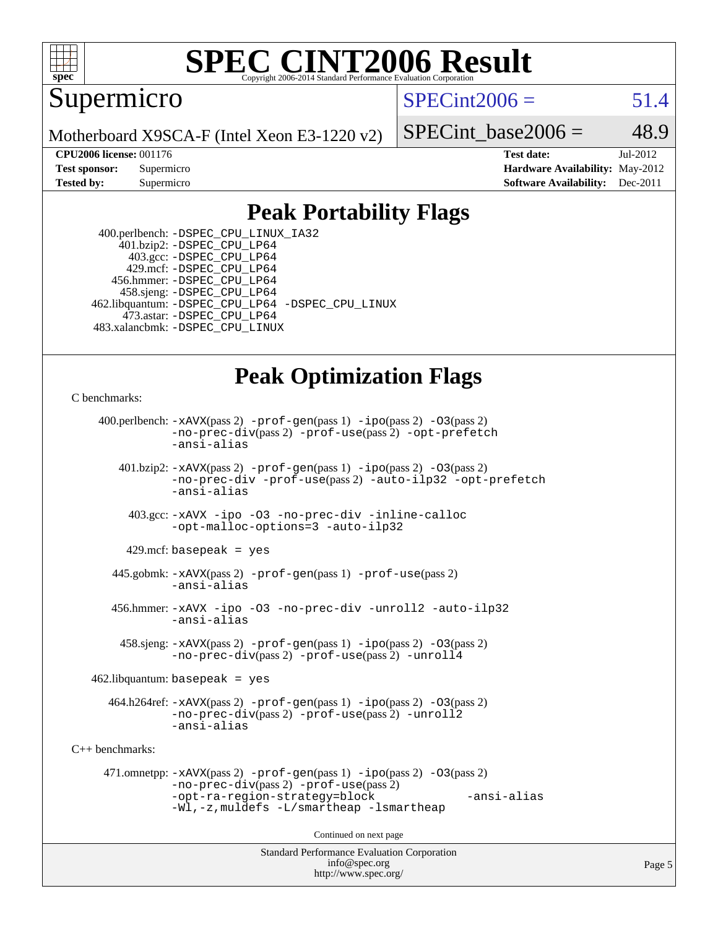

### **[SPEC CINT2006 Result](http://www.spec.org/auto/cpu2006/Docs/result-fields.html#SPECCINT2006Result)** Copyright 2006-2014 Standard Performance Evaluation C

Supermicro

 $SPECint2006 = 51.4$  $SPECint2006 = 51.4$ 

Motherboard X9SCA-F (Intel Xeon E3-1220 v2)

SPECint base2006 =  $48.9$ 

**[CPU2006 license:](http://www.spec.org/auto/cpu2006/Docs/result-fields.html#CPU2006license)** 001176 **[Test date:](http://www.spec.org/auto/cpu2006/Docs/result-fields.html#Testdate)** Jul-2012 **[Test sponsor:](http://www.spec.org/auto/cpu2006/Docs/result-fields.html#Testsponsor)** Supermicro **[Hardware Availability:](http://www.spec.org/auto/cpu2006/Docs/result-fields.html#HardwareAvailability)** May-2012 **[Tested by:](http://www.spec.org/auto/cpu2006/Docs/result-fields.html#Testedby)** Supermicro **Supermicro [Software Availability:](http://www.spec.org/auto/cpu2006/Docs/result-fields.html#SoftwareAvailability)** Dec-2011

## **[Peak Portability Flags](http://www.spec.org/auto/cpu2006/Docs/result-fields.html#PeakPortabilityFlags)**

 400.perlbench: [-DSPEC\\_CPU\\_LINUX\\_IA32](http://www.spec.org/cpu2006/results/res2012q3/cpu2006-20120717-23779.flags.html#b400.perlbench_peakCPORTABILITY_DSPEC_CPU_LINUX_IA32) 401.bzip2: [-DSPEC\\_CPU\\_LP64](http://www.spec.org/cpu2006/results/res2012q3/cpu2006-20120717-23779.flags.html#suite_peakPORTABILITY401_bzip2_DSPEC_CPU_LP64) 403.gcc: [-DSPEC\\_CPU\\_LP64](http://www.spec.org/cpu2006/results/res2012q3/cpu2006-20120717-23779.flags.html#suite_peakPORTABILITY403_gcc_DSPEC_CPU_LP64) 429.mcf: [-DSPEC\\_CPU\\_LP64](http://www.spec.org/cpu2006/results/res2012q3/cpu2006-20120717-23779.flags.html#suite_peakPORTABILITY429_mcf_DSPEC_CPU_LP64) 456.hmmer: [-DSPEC\\_CPU\\_LP64](http://www.spec.org/cpu2006/results/res2012q3/cpu2006-20120717-23779.flags.html#suite_peakPORTABILITY456_hmmer_DSPEC_CPU_LP64) 458.sjeng: [-DSPEC\\_CPU\\_LP64](http://www.spec.org/cpu2006/results/res2012q3/cpu2006-20120717-23779.flags.html#suite_peakPORTABILITY458_sjeng_DSPEC_CPU_LP64) 462.libquantum: [-DSPEC\\_CPU\\_LP64](http://www.spec.org/cpu2006/results/res2012q3/cpu2006-20120717-23779.flags.html#suite_peakPORTABILITY462_libquantum_DSPEC_CPU_LP64) [-DSPEC\\_CPU\\_LINUX](http://www.spec.org/cpu2006/results/res2012q3/cpu2006-20120717-23779.flags.html#b462.libquantum_peakCPORTABILITY_DSPEC_CPU_LINUX) 473.astar: [-DSPEC\\_CPU\\_LP64](http://www.spec.org/cpu2006/results/res2012q3/cpu2006-20120717-23779.flags.html#suite_peakPORTABILITY473_astar_DSPEC_CPU_LP64) 483.xalancbmk: [-DSPEC\\_CPU\\_LINUX](http://www.spec.org/cpu2006/results/res2012q3/cpu2006-20120717-23779.flags.html#b483.xalancbmk_peakCXXPORTABILITY_DSPEC_CPU_LINUX)

# **[Peak Optimization Flags](http://www.spec.org/auto/cpu2006/Docs/result-fields.html#PeakOptimizationFlags)**

```
C benchmarks:
```

```
Standard Performance Evaluation Corporation
                                          info@spec.org
     400.perlbench: -xAVX(pass 2) -prof-gen(pass 1) -ipo(pass 2) -O3(pass 2)
                -no-prec-div(pass 2) -prof-use(pass 2) -opt-prefetch
                -ansi-alias
        401.bzip2: -xAVX(pass 2) -prof-gen(pass 1) -ipo(pass 2) -O3(pass 2)
                -no-prec-div -prof-use(pass 2) -auto-ilp32 -opt-prefetch
                -ansi-alias
          403.gcc: -xAVX -ipo -O3 -no-prec-div -inline-calloc
                -opt-malloc-options=3 -auto-ilp32
         429.mcf: basepeak = yes
       445.gobmk: -xAVX(pass 2) -prof-gen(pass 1) -prof-use(pass 2)
                -ansi-alias
       456.hmmer: -xAVX -ipo -O3 -no-prec-div -unroll2 -auto-ilp32
                -ansi-alias
         458.sjeng: -xAVX(pass 2) -prof-gen(pass 1) -ipo(pass 2) -O3(pass 2)
                -no-prec-div(pass 2) -prof-use(pass 2) -unroll4
    462.libquantum: basepeak = yes
       464.h264ref: -xAVX(pass 2) -prof-gen(pass 1) -ipo(pass 2) -O3(pass 2)
                -no-prec-div(pass 2) -prof-use(pass 2) -unroll2
                -ansi-alias
C++ benchmarks: 
      471.omnetpp: -xAVX(pass 2) -prof-gen(pass 1) -ipo(pass 2) -O3(pass 2)
                -no-prec-div(pass 2) -prof-use(pass 2)
                -opt-ra-region-strategy=block -ansi-alias
                -Wl,-z,muldefs -L/smartheap -lsmartheap
                                        Continued on next page
```
<http://www.spec.org/>

Page 5